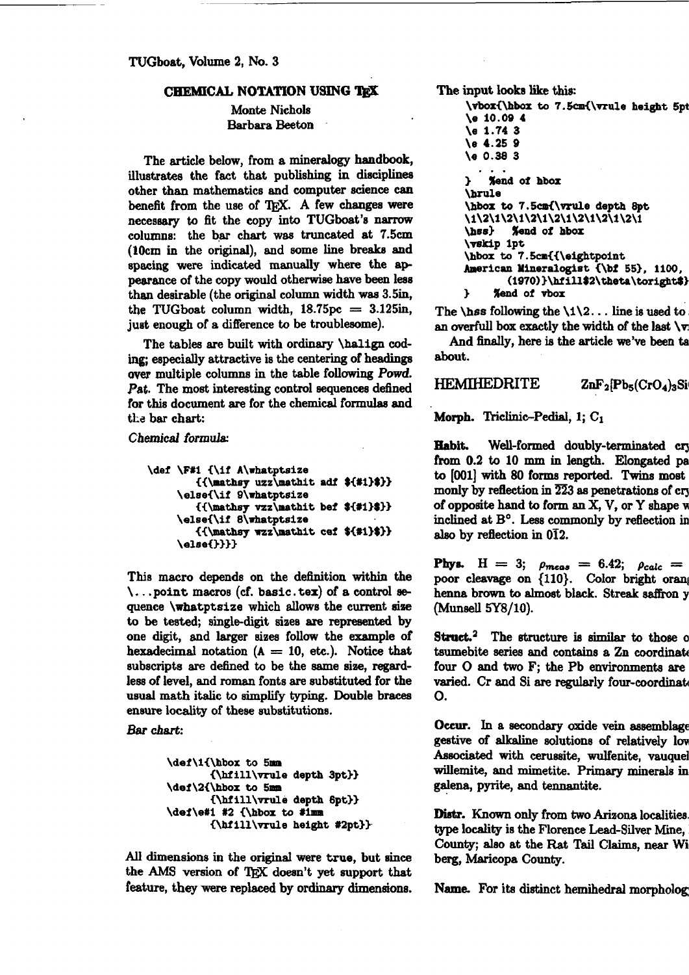## TUGboat, Volume 2, No. 3

## **CHEMICAL NOTATION USING TEX**

Monte Nichols Barbara **Beeton** 

The article below, from a mineralogy **handbook,**  illustrates the fact that publishing in disciplines other than mathematics and computer science can benefit from the use of TEX. A few changes were necessary to fit the copy **into** TUGboat's narrow columns: the b,y chart **was** truncated at 7.5cm (10cm in the original), and some line breaks and spacing were indicated manually where the ap **pemance** of the copy would otherwise have **been** less than desirable (the original column width was 3.5in, the TUGboat column width,  $18.75pc = 3.125in$ , just enough of a difference to be troublesome).

The tables are built with ordinary **\halign** coding; especially attractive is the centering of headings aver multiple columns in the table following *Powd*. Pat. The most interesting control sequences defined for this document **are** for the chemical formulas and the bar chart:

*Chemical formula:* 

```
\def \F#1 {\if A\whatptsize
        {\{\mathtt{\uparrow}\} \}\else{\if 9\whatptsize
        {\{\mathtt{\s} yzz\mathtt{h} t \mathtt{ def } {\mathtt{}}\}}\else{\if 8\whatptsize
        {\{\mathtt{\ssym}\} \\{e1se\}}}}
```
This macro depends on the definition within the \ . . .poiat macros (cf. **basic. tex)** of **a** control **ae**  quence **\whatptsize** which allows the current size to be tested; singledigit sires **are** represented by one digit, **and** larger **aizes** follow the example of hexadecimal notation  $(A = 10, etc.).$  Notice that subscripts are defined to be the same size, regardless of **level,** and roman fonts are substituted for the usual math italic to simplify typing. Double bracea ensure locality of these substitutions.

**Bar dart:** 

```
\def\l<\hbox to 5na 
       <\hfill\vrule depth 3pt31 
\def\2<\hbox to 5m 
       C\hfill\vrule depth 6pt31 
\def\eli #2 C\hbox to #im 
       <\hfill\vrule height Xlpt))
```
**All** dimensions in the original were true, but since the AMS version of TEX doesn't yet support that feature, they were replaced by ordinary dimensions. **The** input **looks** like **this: \~bd\hbor to 7. bcm<\vrule height 5pt \e 10.09 4 \e 1.74 3 \e 4.25 9 \e 0.38 3**  . . . ) **%end of hbax \brple \hbox to 7.5cd\vrule depth 8pt \1\2\1\2\1\2\1\2\1\2\1\2\1\2\1 be63** %end of **hbox \-kip lpt**  \hbox **to 7.5cm{{\eightpoint American Uineralogiet C\bf 551, 1100. (1970) 3\hfill\$2\theta\torigbt\$} 3 %end of vbox** 

The **\hss** following the  $\{1\}2$ ... line is used to an overfull box exactly the width of the last **\v** 

And finally, here is the article we've been ta about.

**HEMIHEDRITE**  $ZnF_2[Pb_5(CrO_4)_3Si$ 

Morph. Triclinic-Pedial, 1; C<sub>1</sub>

Habit. Well-formed doubly-terminated cry from 0.2 to 10 mm in length. Elongated pa to  $[001]$  with 80 forms reported. Twins most monly by reflection in  $\overline{22}3$  as penetrations of cry of opposite hand to form an  $X$ ,  $V$ , or  $Y$  shape  $v$ inclined at B°. Less commonly by reflection in also by reflection in 012.

**Phys.**  $H = 3; \rho_{meas} = 6.42; \rho_{calc} = 0$ poor cleavage on  $\{110\}$ . Color bright orang henna brown to almost black. Streak saffron *y*  $(M$ unsell 5Y8/10).

**Struct.<sup>2</sup>** The structure is similar to those of tsumebite series and contains a Zn coordinate four O and two F; the Pb environments are varied. Cr and Si are regularly four-coordinat 0.

Occur. In a secondary oxide vein assemblage gestive of alkaline solutions of relatively low Associated with cerussite, wulfenite, vauquel willemite, and mimetite. Primary minerals in galena, pyrite, and tennantite.

**Distr.** Known only from two Arizona localities. **type** locality is the Florence Lead-Silver **Mine, Pinal**  County; also at the Rat Tail Claims, near Wi berg, Maricopa County.

**Name.** For its distinct **hemihedrd** morphology.